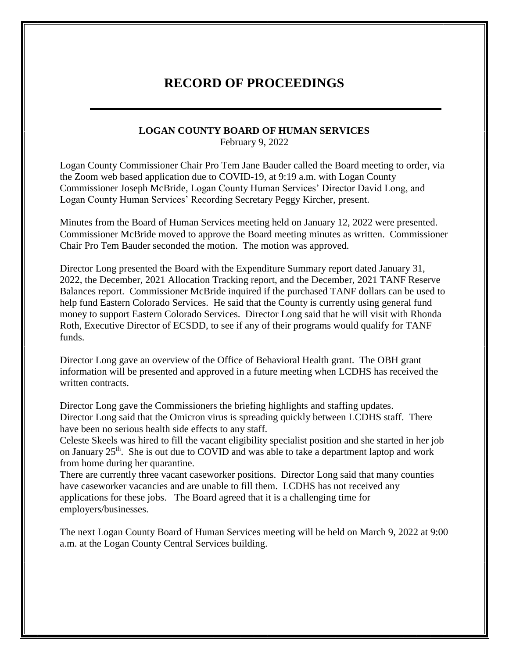## **RECORD OF PROCEEDINGS**

## **LOGAN COUNTY BOARD OF HUMAN SERVICES**

February 9, 2022

Logan County Commissioner Chair Pro Tem Jane Bauder called the Board meeting to order, via the Zoom web based application due to COVID-19, at 9:19 a.m. with Logan County Commissioner Joseph McBride, Logan County Human Services' Director David Long, and Logan County Human Services' Recording Secretary Peggy Kircher, present.

Minutes from the Board of Human Services meeting held on January 12, 2022 were presented. Commissioner McBride moved to approve the Board meeting minutes as written. Commissioner Chair Pro Tem Bauder seconded the motion. The motion was approved.

Director Long presented the Board with the Expenditure Summary report dated January 31, 2022, the December, 2021 Allocation Tracking report, and the December, 2021 TANF Reserve Balances report. Commissioner McBride inquired if the purchased TANF dollars can be used to help fund Eastern Colorado Services. He said that the County is currently using general fund money to support Eastern Colorado Services. Director Long said that he will visit with Rhonda Roth, Executive Director of ECSDD, to see if any of their programs would qualify for TANF funds.

Director Long gave an overview of the Office of Behavioral Health grant. The OBH grant information will be presented and approved in a future meeting when LCDHS has received the written contracts.

Director Long gave the Commissioners the briefing highlights and staffing updates. Director Long said that the Omicron virus is spreading quickly between LCDHS staff. There have been no serious health side effects to any staff.

Celeste Skeels was hired to fill the vacant eligibility specialist position and she started in her job on January 25<sup>th</sup>. She is out due to COVID and was able to take a department laptop and work from home during her quarantine.

There are currently three vacant caseworker positions. Director Long said that many counties have caseworker vacancies and are unable to fill them. LCDHS has not received any applications for these jobs. The Board agreed that it is a challenging time for employers/businesses.

The next Logan County Board of Human Services meeting will be held on March 9, 2022 at 9:00 a.m. at the Logan County Central Services building.